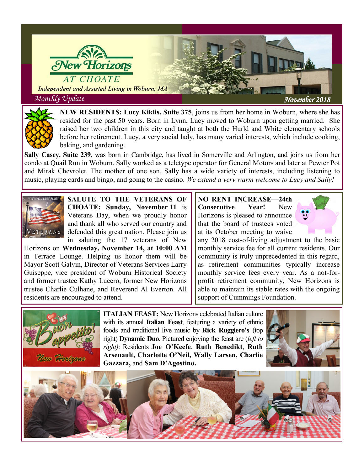



**NEW RESIDENTS: Lucy Kiklis, Suite 375**, joins us from her home in Woburn, where she has resided for the past 50 years. Born in Lynn, Lucy moved to Woburn upon getting married. She raised her two children in this city and taught at both the Hurld and White elementary schools before her retirement. Lucy, a very social lady, has many varied interests, which include cooking, baking, and gardening.

**Sally Casey, Suite 239**, was born in Cambridge, has lived in Somerville and Arlington, and joins us from her condo at Quail Run in Woburn. Sally worked as a teletype operator for General Motors and later at Pewter Pot and Mirak Chevrolet. The mother of one son, Sally has a wide variety of interests, including listening to music, playing cards and bingo, and going to the casino. *We extend a very warm welcome to Lucy and Sally!* 



**SALUTE TO THE VETERANS OF CHOATE: Sunday, November 11** is Veterans Day, when we proudly honor and thank all who served our country and defended this great nation. Please join us in saluting the 17 veterans of New

Horizons on **Wednesday, November 14, at 10:00 AM**  in Terrace Lounge. Helping us honor them will be Mayor Scott Galvin, Director of Veterans Services Larry Guiseppe, vice president of Woburn Historical Society and former trustee Kathy Lucero, former New Horizons trustee Charlie Culhane, and Reverend Al Everton. All residents are encouraged to attend.

## **NO RENT INCREASE—24th Consecutive Year!** New Horizons is pleased to announce that the board of trustees voted at its October meeting to waive



any 2018 cost-of-living adjustment to the basic monthly service fee for all current residents. Our community is truly unprecedented in this regard, as retirement communities typically increase monthly service fees every year. As a not-forprofit retirement community, New Horizons is able to maintain its stable rates with the ongoing support of Cummings Foundation.



**ITALIAN FEAST:** New Horizons celebrated Italian culture with its annual **Italian Feast**, featuring a variety of ethnic foods and traditional live music by **Rick Ruggiero's** (top right) **Dynamic Duo**. Pictured enjoying the feast are (*left to right)*: Residents **Joe O'Keefe**, **Ruth Benedikt**, **Ruth Arsenault, Charlotte O'Neil, Wally Larsen, Charlie Gazzara,** and **Sam D'Agostino.**